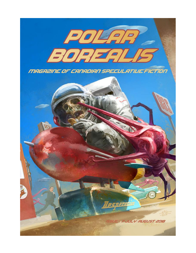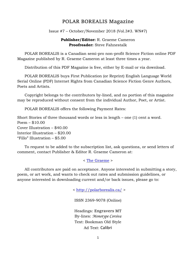### POLAR BOREALIS Magazine

Issue #7 – October/November 2018 (Vol.3#3. WN#7)

#### **Publisher/Editor:** R. Graeme Cameron **Proofreader:** Steve Fahnestalk

 POLAR BOREALIS is a Canadian semi-pro non-profit Science Fiction online PDF Magazine published by R. Graeme Cameron at least three times a year.

Distribution of this PDF Magazine is free, either by E-mail or via download.

 POLAR BOREALIS buys First Publication (or Reprint) English Language World Serial Online (PDF) Internet Rights from Canadian Science Fiction Genre Authors, Poets and Artists.

 Copyright belongs to the contributors by-lined, and no portion of this magazine may be reproduced without consent from the individual Author, Poet, or Artist.

POLAR BOREALIS offers the following Payment Rates:

Short Stories of three thousand words or less in length – one (1) cent a word. Poem – \$10.00 Cover Illustration – \$40.00 Interior Illustration – \$20.00 "Fillo" Illustration – \$5.00

 To request to be added to the subscription list, ask questions, or send letters of comment, contact Publisher & Editor R. Graeme Cameron at:

< [The Graeme](mailto:polar.borealis.magazine@gmail.com) >

 All contributors are paid on acceptance. Anyone interested in submitting a story, poem, or art work, and wants to check out rates and submission guidelines, or anyone interested in downloading current and/or back issues, please go to:

<<http://polarborealis.ca/> >

ISSN 2369-9078 (Online)

Headings: Engravers MT By-lines: *Monotype Corsiva* Text: Bookman Old Style Ad Text: Calibri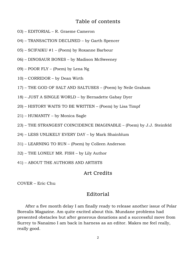## Table of contents

- 03) EDITORIAL R. Graeme Cameron
- 04) TRANSACTION DECLINED by Garth Spencer
- 05) SCIFAIKU #1 (Poem) by Roxanne Barbour
- 06) DINOSAUR BONES by Madison McSweeney
- 09) POOR FLY (Poem) by Lena Ng
- 10) CORRIDOR by Dean Wirth
- 17) THE GOD OF SALT AND SALTUSES (Poem) by Neile Graham
- 18) JUST A SINGLE WORLD by Bernadette Gabay Dyer
- 20) HISTORY WAITS TO BE WRITTEN (Poem) by Lisa Timpf
- 21) HUMANITY by Monica Sagle
- 23) THE STRANGEST COINCIDENCE IMAGINABLE (Poem) by J.J. Steinfeld
- 24) LESS UNLIKELY EVERY DAY by Mark Shainblum
- 31) LEARNING TO RUN (Poem) by Colleen Anderson
- 32) THE LONELY MR. FISH by Lily Author
- 41) ABOUT THE AUTHORS AND ARTISTS

### Art Credits

COVER – Eric Chu

### Editorial

 After a five month delay I am finally ready to release another issue of Polar Borealis Magazine. Am quite excited about this. Mundane problems had presented obstacles but after generous donations and a successful move from Surrey to Nanaimo I am back in harness as an editor. Makes me feel really, really good.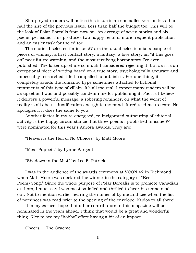Sharp-eyed readers will notice this issue is an ensmalled version less than half the size of the previous issue. Less than half the budget too. This will be the look of Polar Borealis from now on. An average of seven stories and six poems per issue. This produces two happy results: more frequent publication and an easier task for the editor.

 The stories I selected for issue #7 are the usual eclectic mix: a couple of pieces of whimsy, a first contact story, a fantasy, a love story, an "if this goes on" near future warning, and the most terrifying horror story I've ever published. The latter upset me so much I considered rejecting it, but as it is an exceptional piece of writing based on a true story, psychologically accurate and impeccably researched, I felt compelled to publish it. For one thing, it completely avoids the romantic hype sometimes attached to fictional treatments of this type of villain. It's all too real. I expect many readers will be as upset as I was and possibly condemn me for publishing it. Fact is I believe it delivers a powerful message, a sobering reminder, on what the worst of reality is all about. Justification enough to my mind. It reduced me to tears. No apologies if it does the same to you.

 Another factor in my re-energised, re-invigorated outpouring of editorial activity is the happy circumstance that three poems I published in issue #4 were nominated for this year's Aurora awards. They are:

"Heaven is the Hell of No Choices" by Matt Moore

"Meat Puppets" by Lynne Sargent

"Shadows in the Mist" by Lee F. Patrick

 I was in the audience of the awards ceremony at VCON 42 in Richmond when Matt Moore was declared the winner in the category of "Best Poem/Song." Since the whole purpose of Polar Borealis is to promote Canadian authors, I must say I was most satisfied and thrilled to hear his name read out. Not to mention earlier hearing the names of Lynne and Lee when the list of nominees was read prior to the opening of the envelope. Kudos to all three!

 It is my earnest hope that other contributors to this magazine will be nominated in the years ahead. I think that would be a great and wonderful thing. Nice to see my "hobby" effort having a bit of an impact.

Cheers! The Graeme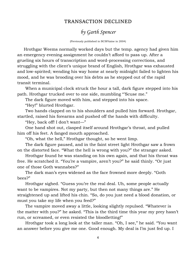## TRANSACTION DECLINED

# *by Garth Spencer*

(Previously published in BCSFAzine in 2004)

 Hrothgar Weems normally worked days but the temp. agency had given him an emergency evening assignment he couldn't afford to pass up. After a grueling six hours of transcription and word-processing corrections, and struggling with the client's unique brand of English, Hrothgar was exhausted and low-spirited; wending his way home at nearly midnight failed to lighten his mood, and he was brooding over his debts as he stepped out of the rapid transit terminal.

 When a municipal clock struck the hour a tall, dark figure stepped into his path. Hrothgar trucked over to one side, mumbling "'Scuse me."

The dark figure moved with him, and stepped into his space.

"Hey!" blurted Hrothgar.

 Two hands clapped on to his shoulders and pulled him forward. Hrothgar, startled, raised his forearms and pushed off the hands with difficulty.

"Hey, back off! I don't want—"

 One hand shot out, clasped itself around Hrothgar's throat, and pulled him off his feet. A fanged mouth approached.

"Oh, what the hell," Hrothgar thought, so he went limp.

 The dark figure paused, and in the faint street light Hrothgar saw a frown on the distorted face. "What the hell is wrong with you?" the stranger asked.

 Hrothgar found he was standing on his own again, and that his throat was free. He scratched it. "You're a vampire, aren't you?" he said thinly. "Or just one of those Goth wannabes?"

 The dark man's eyes widened as the face frowned more deeply. "Goth bees?"

 Hrothgar sighed. "Guess you're the real deal. Uh, some people actually want to be vampires. Not my party, but then not many things are." He straightened up and lifted his chin. "So, do you just need a blood donation, or must you take my life when you feed?"

 The vampire moved away a little, looking slightly repulsed. "Whatever is the matter with you?" he asked. "This is the third time this year my prey hasn't run, or screamed, or even resisted the bloodletting!"

 Hrothgar took a long look at the taller man. "Oh, I see," he said. "You want an answer before you give me one. Good enough. My deal is I'm just fed up. I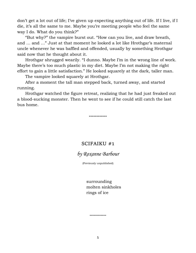don't get a lot out of life; I've given up expecting anything out of life. If I live, if I die, it's all the same to me. Maybe you're meeting people who feel the same way I do. What do you think?"

 "But why?" the vampire burst out. "How can you live, and draw breath, and … and …" Just at that moment he looked a lot like Hrothgar's maternal uncle whenever he was baffled and offended, usually by something Hrothgar said now that he thought about it.

 Hrothgar shrugged wearily. "I dunno. Maybe I'm in the wrong line of work. Maybe there's too much plastic in my diet. Maybe I'm not making the right effort to gain a little satisfaction." He looked squarely at the dark, taller man.

The vampire looked squarely at Hrothgar.

 After a moment the tall man stepped back, turned away, and started running.

 Hrothgar watched the figure retreat, realizing that he had just freaked out a blood-sucking monster. Then he went to see if he could still catch the last bus home.

**------------**

## SCIFAIKU #1

## *by Roxanne Barbour*

(Previously unpublished)

surrounding molten sinkholes rings of ice

**------------**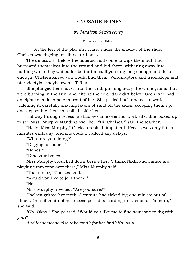## DINOSAUR BONES

## *by Madison McSweeney*

(Previously unpublished)

 At the feet of the play structure, under the shadow of the slide, Chelsea was digging for dinosaur bones.

The dinosaurs, before the asteroid had come to wipe them out, had burrowed themselves into the ground and hid there, withering away into nothing while they waited for better times. If you dug long enough and deep enough, Chelsea knew, you would find them. Velociraptors and triceratops and pterodactyls—maybe even a T-Rex.

She plunged her shovel into the sand, pushing away the white grains that were burning in the sun, and hitting the cold, dark dirt below. Soon, she had an eight-inch deep hole in front of her. She pulled back and set to work widening it, carefully shaving layers of sand off the sides, scooping them up, and depositing them in a pile beside her.

Halfway through recess, a shadow came over her work site. She looked up to see Miss. Murphy standing over her. "Hi, Chelsea," said the teacher.

"Hello, Miss Murphy," Chelsea replied, impatient. Recess was only fifteen minutes each day, and she couldn't afford any delays.

"What are you doing?"

"Digging for bones."

"Bones?"

"Dinosaur bones."

Miss Murphy crouched down beside her. "I think Nikki and Janice are playing jump rope over there," Miss Murphy said.

"That's nice," Chelsea said.

"Would you like to join them?"

" $No.$ "

Miss Murphy frowned. "Are you sure?"

Chelsea gritted her teeth. A minute had ticked by; one minute out of fifteen. One-fifteenth of her recess period, according to fractions. "I'm sure," she said.

"Oh. Okay." She paused. "Would you like me to find someone to dig with you?"

*And let someone else take credit for her find? No way!*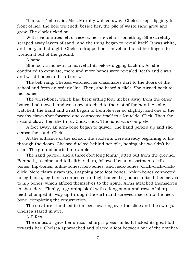"I'm sure," she said. Miss Murphy walked away. Chelsea kept digging. In front of her, the hole widened; beside her, the pile of waste sand grew and grew. The clock ticked on.

With five minutes left of recess, her shovel hit something. She carefully scraped away layers of sand, and the thing began to reveal itself. It was white, and long, and straight. Chelsea dropped her shovel and used her fingers to wrench it out of the ground.

A bone.

She took a moment to marvel at it, before digging back in. As she continued to excavate, more and more bones were revealed, teeth and claws and wrist-bones and rib-bones.

The bell rang. Chelsea watched her classmates dart to the doors of the school and form an orderly line. Then, she heard a click. She turned back to her bones.

The wrist-bone, which had been sitting four inches away from the other bones, had moved, and was now attached to the rest of the hand. As she watched, the hand and wrist began to tremble ever so slightly, and one of the nearby claws shot forward and connected itself to a knuckle. Click. Then the second claw, then the third. Click, click. The hand was complete.

A foot away, an arm-bone began to quiver. The hand perked up and slid across the sand. Click.

At the entrance of the school, the students were already beginning to file through the doors. Chelsea ducked behind her pile, hoping she wouldn't be seen. The ground started to rumble.

The sand parted, and a three-foot long femur jutted out from the ground. Behind it, a spine and tail slithered up, followed by an assortment of ribbones, hip-bones, ankle-bones, foot-bones, and neck-bones. Click-click-clickclick. More claws swam up, snapping onto foot bones. Ankle-bones connected to leg-bones, leg-bones connected to thigh bones. Leg-bones affixed themselves to hip bones, which affixed themselves to the spine. Arms attached themselves to shoulders. Finally, a grinning skull with a long snout and rows of sharp teeth chomped its way up through the earth and screwed itself onto the neckbone, completing the resurrection.

The creature stumbled to its feet, towering over the slide and the swings. Chelsea stared in awe.

A T-Rex.

The dinosaur gave her a razor-sharp, lipless smile. It flicked its great tail towards her. Chelsea approached and placed a foot between one of the notches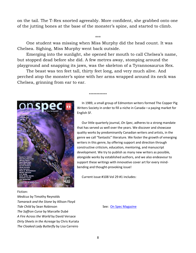on the tail. The T-Rex snorted agreeably. More confident, she grabbed onto one of the jutting bones at the base of the monster's spine, and started to climb.

#### \*\*\*

One student was missing when Miss Murphy did the head count. It was Chelsea. Sighing, Miss Murphy went back outside.

Emerging into the sunlight, she opened her mouth to call Chelsea's name, but stopped dead before she did. A few metres away, stomping around the playground and snapping its jaws, was the skeleton of a Tyrannosaurus Rex.

The beast was ten feet tall, thirty feet long, and very much alive. And perched atop the monster's spine with her arms wrapped around its neck was Chelsea, grinning from ear to ear.

**------------**



 In 1989, a small group of Edmonton writers formed The Copper Pig Writers Society in order to fill a niche in Canada—a paying market for English SF.

 Our little quarterly journal, *On Spec*, adheres to a strong mandate that has served us well over the years. We discover and showcase quality works by predominantly Canadian writers and artists, in the genre we call "fantastic" literature. We foster the growth of emerging writers in this genre, by offering support and direction through constructive criticism, education, mentoring, and manuscript development. We try to publish as many new writers as possible, alongside works by established authors, and we also endeavour to support these writings with innovative cover art for every mindbending and thought-provoking issue!

Current issue #108 Vol 29 #1 includes:

#### Fiction:

*Medicus* by Timothy Reynolds *Tamarack and the Stone* by Allison Floyd **Tide Child** by Sean Robinson **See: [On Spec Magazine](https://onspecmag.wordpress.com/)** See: On Spec Magazine *The Saffron Curse* by Marcelle Dubé *A Fire Across the World* by David Versace *Dirty Sheets in the Acreage* by Chris Kuriata *The Cloaked Lady Butterfly* by Lisa Carreiro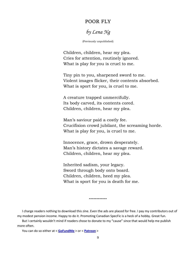### POOR FLY

*by Lena Ng*

(Previously unpublished)

Children, children, hear my plea. Cries for attention, routinely ignored. What is play for you is cruel to me.

Tiny pin to you, sharpened sword to me. Violent images flicker, their contents absorbed. What is sport for you, is cruel to me.

A creature trapped unmercifully. Its body carved, its contents cored. Children, children, hear my plea.

Man's saviour paid a costly fee. Crucifixion crowd jubilant, the screaming horde. What is play for you, is cruel to me.

Innocence, grace, drown desperately. Man's history dictates a savage reward. Children, children, hear my plea.

Inherited sadism, your legacy. Sword through body onto board. Children, children, heed my plea. What is sport for you is death for me.

 I charge readers nothing to download this zine. Even the ads are placed for free. I pay my contributors out of my modest pension income. Happy to do it. Promoting Canadian SpecFic is a heck of a hobby. Great fun.

**------------**

 But I certainly wouldn't mind if readers chose to donate to my "cause" since that would help me publish more often.

You can do so either at < **[GoFundMe](https://www.gofundme.com/jwj3dzgc)** > or < **[Patreon](https://www.patreon.com/polar_borealis_magazine)** >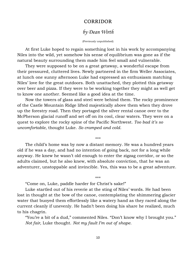### CORRIDOR

## *by Dean Wirth*

#### (Previously unpublished)

 At first Luke hoped to regain something lost in his work by accompanying Niles into the wild, yet somehow his sense of equilibrium was gone as if the natural beauty surrounding them made him feel small and vulnerable.

 They were supposed to be on a great getaway, a wonderful escape from their pressured, cluttered lives. Newly partnered in the firm Weller Associates, at lunch one sunny afternoon Luke had expressed an enthusiasm matching Niles' love for the great outdoors. Both unattached, they plotted this getaway over beer and pizza. If they were to be working together they might as well get to know one another. Seemed like a good idea at the time.

 Now the towers of glass and steel were behind them. The rocky prominence of the Castle Mountain Ridge lifted majestically above them when they drove up the forestry road. Then they portaged the silver rental canoe over to the McPherson glacial runoff and set off on its cool, clear waters. They were on a quest to explore the rocky spine of the Pacific Northwest. *Too bad it's so uncomfortable*, thought Luke. *So cramped and cold.*

\*\*\*

 The child's home was by now a distant memory. He was a hundred years old if he was a day, and had no intention of going back, not for a long while anyway. He knew he wasn't old enough to enter the zigzag corridor, or so the adults claimed, but he also knew, with absolute conviction, that he was an adventurer, unstoppable and invincible. Yes, this was to be a great adventure.

\*\*\*

"Come on, Luke, paddle harder for Christ's sake!"

 Luke startled out of his reverie at the sting of Niles' words. He had been lost in thought at the bow of the canoe, contemplating the shimmering glacier water that buoyed them effortlessly like a watery hand as they raced along the current cleanly if unevenly. He hadn't been doing his share he realized, much to his chagrin.

 "You're a bit of a dud," commented Niles. "Don't know why I brought you." *Not fair*, Luke thought. *Not my fault I'm out of shape.*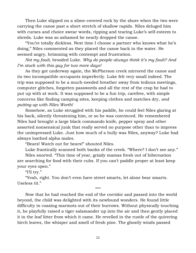Then Luke slipped on a slime-covered rock by the shore when the two were carrying the canoe past a short stretch of shallow rapids. Niles deluged him with curses and choice swear words, ripping and tearing Luke's self-esteem to shreds. Luke was so ashamed he nearly dropped the canoe.

 "You're totally dickless. Next time I choose a partner who knows what he's doing," Niles commented as they placed the canoe back in the water. He seemed angry, brimming with contempt and frustration.

 *Not my fault,* brooded Luke. *Why do people always think it's my fault? And I'm stuck with this guy for two more days!*

 As they got underway again, the McPherson creek mirrored the canoe and its two incompatible occupants imperfectly. Luke felt very small indeed. The trip was supposed to be a much-needed breather away from tedious meetings, computer glitches, forgotten passwords and all the rest of the crap he had to put up with at work. It was supposed to be a fun trip, carefree, with simple concerns like finding camping sites, keeping clothes and matches dry, *and putting up with Niles Worth!*

 Somehow, as Luke struggled with his paddle, he could feel Niles glaring at his back, silently threatening him, or so he was convinced. He remembered Niles had brought a large black commando knife, pepper spray and other assorted nonsensical junk that really served no purpose other than to impress the unimpressed Luke. Just how much of a bully was Niles, anyway? Luke had always loathed alpha males.

"Bears! Watch out for bears!" shouted Niles.

Luke frantically scanned both banks of the creek. "Where? I don't see any."

 Niles snorted. "This time of year, grizzly mamas fresh out of hibernation are searching for food with their cubs. If you can't paddle proper at least keep your eyes open."

"I'll try."

 "Yeah, right. You don't even have street smarts, let alone bear smarts. Useless tit."

 Now that he had reached the end of the corridor and passed into the world beyond, the child was delighted with its newfound wonders. He found little difficulty in coaxing marmots out of their burrows. Without physically touching it, he playfully raised a tiger salamander up into the air and then gently placed it in the leaf litter from which it came. He revelled in the rustle of the quivering birch leaves, the whisper and smell of fresh pine. The ghostly winds passed

\*\*\*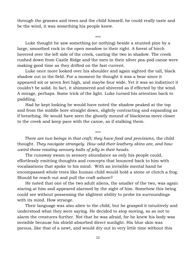through the grasses and trees and the child himself, he could really taste and be the wind, it was something his people knew.

\*\*\*

 Luke thought he saw something (or nothing) beside a stunted pine by a large, smoothed rock in the open meadow to their right. A forest of birch hovered over the left side of the creek, casting the two in shadow. The creek rushed down from Castle Ridge and the men in their silver pea-pod canoe were making good time as they drifted on the fast current.

 Luke once more looked over his shoulder and again sighted the tall, black shadow out in the field. For a moment he thought it was a bear since it appeared six or seven feet high, and maybe four wide. Yet it was so indistinct it couldn't be solid. In fact, it shimmered and shivered as if effected by the wind. A mirage, perhaps. Some trick of the light. Luke turned his attention back to paddling.

 Had he kept looking he would have noted the shadow peaked at the top and from the middle bore straight down, slightly contracting and expanding as if breathing. He would have seen the ghostly mound of blackness move closer to the creek and keep pace with the canoe, as if stalking them.

\*\*\*

 *There are two beings in that craft; they have food and provisions,* the child thought. *They navigate strangely. How odd their leathery skins are, and how weird those rotating sensory balls of jelly in their heads.*

 The runaway swam in sensory abundance as only his people could, effortlessly emitting thoughts and concepts that bounced back to him with vocalizations that spoke to his mind. With an invisible mental hand he encompassed whole trees like human child would hold a stone or clutch a frog. Should he reach out and pull the craft ashore?

 He noted that one of the two adult aliens, the smaller of the two, was again staring at him and appeared alarmed by the sight of him. Somehow this being could see without possessing the slightest ability to probe its surroundings with its mind. How strange.

 Their language was also alien to the child, but he grasped it intuitively and understood what they were saying. He decided to stop moving, so as not to alarm the creatures further. Not that he was afraid, for he knew his body was invisible because his shield absorbed direct sunlight. His blue skin was porous, like that of a newt, and would dry out in very little time without this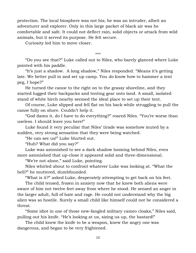protection. The local biosphere was not his; he was an intruder, albeit an adventurer and explorer. Only in this large packet of black air was he comfortable and safe. It could not deflect rain, solid objects or attack from wild animals, but it served its purpose. He felt secure.

Curiosity led him to move closer.

\*\*\*

 "Do you see that?" Luke called out to Niles, who barely glanced where Luke pointed with his paddle.

 "It's just a shadow. A long shadow," Niles responded. "Means it's getting late. We better pull in and set up camp. You *do* know how to hammer a tent peg, I hope?"

 He turned the canoe to the right on to the grassy shoreline, and they started lugged their backpacks and tenting gear onto land. A small, isolated stand of white birch nearby seemed the ideal place to set up their tent.

 Of course, Luke slipped and fell flat on his back while struggling to pull the canoe fully on shore. Couldn't help it.

 "God damn it, do I have to do everything?" roared Niles. "You're worse than useless. I should leave you here!"

 Luke found it very peculiar that Niles' tirade was somehow muted by a sudden, very strong sensation that they were being watched.

"He can see us!" Luke blurted out.

"Huh? What did you say?"

 Luke was astonished to see a dark shadow looming behind Niles, even more astonished that up-close it appeared solid and three-dimensional.

"We're not alone," said Luke, pointing.

 Niles whirled about to confront whatever Luke was looking at. "What the hell?" he muttered, dumbfounded.

"What is it?" asked Luke, desperately attempting to get back on his feet.

 The child tensed, frozen in anxiety now that he knew both aliens were aware of him not twelve feet away from where he stood. He sensed an anger in the larger adult, full of hate and rage. He could not understand why the big alien was so hostile. Surely a small child like himself could not be considered a threat.

 "Some idiot in one of those new-fangled military cameo cloaks," Niles said, pulling out his knife. "He's looking at us, sizing us up, the bastard!"

 The child knew the knife to be a weapon, knew the angry one was dangerous, and began to be very frightened.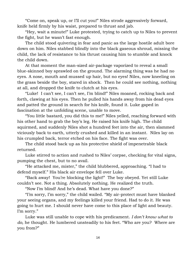"Come on, speak up, or I'll cut you!" Niles strode aggressively forward, knife held firmly by his waist, prepared to thrust and jab.

 "Hey, wait a minute!" Luke protested, trying to catch up to Niles to prevent the fight, but he wasn't fast enough.

 The child stood quivering in fear and panic as the large hostile adult bore down on him. Niles stabbed blindly into the black gaseous shroud, missing the child, the lack of resistance to his thrust causing him to stumble and knock the child down.

 At that moment the man-sized air-package vaporized to reveal a small blue-skinned boy sprawled on the ground. The alarming thing was he had no eyes. A nose, mouth and mussed up hair, but no eyes! Niles, now kneeling on the grass beside the boy, stared in shock. Then he could see nothing, nothing at all, and dropped the knife to clutch at his eyes.

 "Luke! I can't see, I can't see, I'm blind!" Niles moaned, rocking back and forth, clawing at his eyes. Then he pulled his hands away from his dead eyes and patted the ground in search for his knife, found it. Luke gaped in fascination at the unfolding scene, unable to move.

 "You little bastard, you did this to me!" Niles yelled, reaching forward with his other hand to grab the boy's leg. He raised his knife high. The child squirmed, and suddenly Niles shot a hundred feet into the air, then slammed viciously back to earth, utterly crushed and killed in an instant. Niles lay on his crumpled back, terror etched on his face. The fight was over.

 The child stood back up as his protective shield of impenetrable black returned.

 Luke stirred to action and rushed to Niles' corpse, checking for vital signs, pumping the chest, but to no avail.

 "He attacked me, mister," the child blubbered, approaching. "I had to defend myself." His black air envelope fell over Luke.

 "Back away! You're blocking the light!" The boy obeyed. Yet still Luke couldn't see. Not a thing. Absolutely nothing. He realized the truth.

"Now I'm blind! And he's dead. What have you done?"

 "I'm sorry, I'm sorry," the child wailed. "My air-protect must have blanked your seeing organs, and my feelings killed your friend. Had to do it. He was going to hurt me. I should never have come to this place of light and beauty. I'm sorry."

 Luke was still unable to cope with his predicament. *I don't know what to do,* he thought. He lumbered unsteadily to his feet. "Who are you? Where are you from?"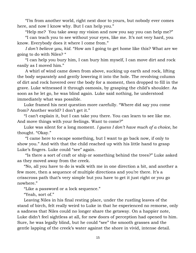"I'm from another world, right next door to yours, but nobody ever comes here, and now I know why. But I can help you."

"Help me? You take away my vision and now you say you can help me?"

 "I can teach you to see without your eyes, like me. It's not very hard, you know. Everybody does it where I come from."

 *I don't believe you, kid.* "How am I going to get home like this? What are we going to do with Niles? "

 "I can help you bury him, I can bury him myself, I can move dirt and rock easily as I moved him."

 A whirl of wind came down from above, sucking up earth and rock, lifting the body separately and gently lowering it into the hole. The revolving column of dirt and rock hovered over the body for a moment, then dropped to fill in the grave. Luke witnessed it through osmosis, by grasping the child's shoulder. As soon as he let go, he was blind again. Luke said nothing, he understood immediately what was possible.

 Luke framed his next question more carefully. "Where did say you come from? Another world? I don't get it."

 "I can't explain it, but I can take you there. You can learn to see like me. And move things with your feelings. Want to come?"

 Luke was silent for a long moment. *I guess I don't have much of a choice,* he thought. "Okay."

 "I came here to escape something, but I want to go back now, if only to show you." And with that the child reached up with his little hand to grasp Luke's fingers. Luke could "see" again.

 "Is there a sort of craft or ship or something behind the trees?" Luke asked as they moved away from the creek.

 "No, all you have to do is walk with me in one direction a bit, and another a few more, then a sequence of multiple directions and you're there. It's a crisscross path that's very simple but you have to get it just right or you go nowhere."

"Like a password or a lock sequence."

"Yeah, sort of."

 Leaving Niles in his final resting place, under the rustling leaves of the stand of birch, felt really weird to Luke in that he experienced no remorse, only a sadness that Niles could no longer share the getaway. On a happier note, Luke didn't feel sightless at all, for new doors of perception had opened to him. Sure, he was legally blind, but he could "see" the smooth grasses and the gentle lapping of the creek's water against the shore in vivid, intense detail.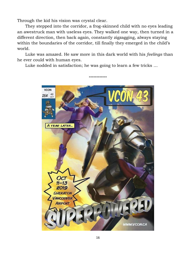Through the kid his vision was crystal clear.

 They stepped into the corridor, a frog-skinned child with no eyes leading an awestruck man with useless eyes. They walked one way, then turned in a different direction, then back again, constantly zigzagging, always staying within the boundaries of the corridor, till finally they emerged in the child's world.

 Luke was amazed. He saw more in this dark world with his *feelings* than he ever could with human eyes.

Luke nodded in satisfaction; he was going to learn a few tricks …

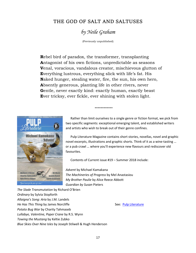## THE GOD OF SALT AND SALTUSES

# *by Neile Graham*

(Previously unpublished)

**R**ebel bird of paradox, the transformer, transplanting **A**ntagonist of his own fictions, unpredictable as seasons **V**enal, voracious, vandalous creator, mischievous glutton of **E**verything lustrous, everything slick with life's fat. His **N**aked hunger, stealing water, fire, the sun, his own hero, **A**bsently generous, planting life in other rivers, never **G**entle, never exactly kind: exactly human, exactly beast **E**ver tricksy, ever fickle, ever shining with stolen light.

**------------**



 Rather than limit ourselves to a single genre or fiction format, we pick from two specific segments: exceptional emerging talent, and established writers and artists who wish to break out of their genre confines.

 Pulp Literature Magazine contains short stories, novellas, novel and graphic novel excerpts, illustrations and graphic shorts. Think of it as a wine-tasting … or a pub crawl … where you'll experience new flavours and rediscover old favourites.

Contents of Current issue #19 – Summer 2018 include:

*Advent* by Michael Kamakana *The Machineries of Progress* by Mel Anastasiou *My Brother Paulie* by Alice Reece Abbott *Guardian by Susan* Pieters

*The Slade Transmutation* by Richard O'Brien *Ordinary* by Sylvia Stopforth *Allaigna's Song: Aria* by J.M. Landels *He Has This Thing* by James Norcliffe See: [Pulp Literature](http://pulpliterature.com/) *Potato Bug War* by Charity Tahmaseb *Lullabye, Valentine, Paper Crane* by R.S. Wynn *Towing the Mustang* by Keltie Zubko *Blue Skies Over Nine Isles* by Joseph Stilwell & Hugh Henderson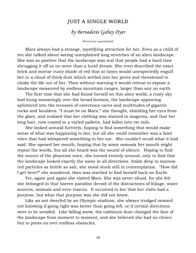## JUST A SINGLE WORLD

## *by Bernadette Gabay Dyer*

(Previously unpublished)

 Mars always had a strange, mystifying attraction for her. Even as a child of ten she talked about seeing unexplained long stretches of an alien landscape. She was so positive that the landscape was real that people had a hard time shrugging it off as no more than a lucid dream. She even described the exact brick and mortar rusty shade of red that at times would unexpectedly engulf her in a cloud of thick dust which settled into her pores and threatened to choke the life out of her. Then without warning it would retreat to expose a landscape measured by endless mountain ranges, larger than any on earth.

 The first time that she had found herself on this alien world, a rusty sky had hung menacingly over the broad horizon, the landscape appearing splintered into the recesses of cavernous caves and multitudes of gigantic rocks and boulders. "I must be on Mars," she thought, shielding her eyes from the glare, and realized that her clothing was stained in magenta, and that her long hair, now coated in a varied pallette, had fallen into rat tails.

 She looked around furtively, hoping to find something that would make sense of what was happening to her, but all she could remember was a faint voice that had whispered something in her ear. She couldn't recall what it had said. She opened her mouth, hoping that by some osmosis her mouth might repeat the words, but all she heard was the sound of silence. Hoping to find the source of the phantom voice, she turned entirely around, only to find that the landscape looked exactly the same in all directions. Ankle deep in maroon red particles as brittle as salt, she stood stock still in contemplation. "How did I get here?" she wondered, then was startled to find herself back on Earth.

 Yet, again and again she visited Mars. She was never afraid, for she felt she belonged in that barren paradise devoid of the distractions of foliage, water sources, animals and even insects. It occurred to her that her visits had a purpose, but what that purpose was she did not know.

 Like an ant dwarfed by an Olympic stadium, she always trudged onward not knowing if going right was better than going left, or if certain directions were to be avoided. Like falling snow, the cadmium dust changed the face of the landscape from moment to moment, and she believed she had no choice but to press on over endless obstacles.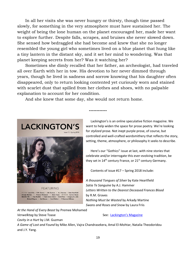In all her visits she was never hungry or thirsty, though time passed slowly, for something in the very atmosphere must have sustained her. The weight of being the lone human on the planet encouraged her, made her want to explore further. Despite falls, scrapes, and bruises she never slowed down. She sensed how bedraggled she had become and knew that she no longer resembled the young girl who sometimes lived on a blue planet that hung like a tiny lantern in the distant sky, and it set her mind to wondering. Was that planet keeping secrets from her? Was it watching her?

 Sometimes she dimly recalled that her father, an archeologist, had traveled all over Earth with her in tow. His devotion to her never dimmed through years, though he lived in sadness and sorrow knowing that his daughter often disappeared, only to return looking contented yet curiously worn and stained with scarlet dust that spilled from her clothes and shoes, with no palpable explanation to account for her condition.

**------------**

And she knew that some day, she would not return home.



 Lackington's is an online speculative fiction magazine. We want to help widen the space for prose poetry. We're looking for *stylized* prose. Not inept purple prose, of course, but controlled and well-crafted wordsmithery that reflects the story, setting, theme, atmosphere, or philosophy it seeks to describe.

 Here's our "Gothics" issue at last, with nine stories that celebrate and/or interrogate this ever-evolving tradition, be they set in  $14<sup>th</sup>$  century France, or  $21<sup>st</sup>$  century Germany.

Contents of issue #17 – Spring 2018 include:

*A thousand Tongues of Silver* by Kate Heartfield *Satia Te Sanguine* by A.J. Hammer *Letters Written to the Dearest Deceased Frances Blood* by R.M. Graves *Nothing Must be Wasted* by Arkady Martine *Swans and Roses and Snow* by Laura Friis

**FEATURING** FICTION Laura Friis . R.M. Graves . J.M. Guzman . A.J. Hammer . Kate Heartfield sy Martine • Premee Mohamed • Steve Toase ARTWORK Carrion House<br>|-<br>|elle MB • Pear Nuallak • Paula Arwen Owen • Dotti Price • Gregory St. John d Wagner • Kat Weaver • Carol Wellart • P. Emerson Williams

*At the Hand of Every Beast* by Premee Mohamed

*Cavity in a Hurt* by J.M. Guzman

#### *Verwelktag* by Steve Toase See: [Lackington](https://lackingtons.com/)'s Magazine

*A Game of Lost and Found* by Mike Allen, Vajra Chandrasekera, Amal El-Mohtar, Natalia Theodoridou and J.Y. Yang.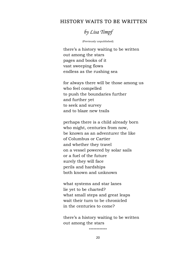### HISTORY WAITS TO BE WRITTEN



(Previously unpublished)

there's a history waiting to be written out among the stars pages and books of it vast sweeping flows endless as the rushing sea

for always there will be those among us who feel compelled to push the boundaries further and further yet to seek and survey and to blaze new trails

perhaps there is a child already born who might, centuries from now, be known as an adventurer the like of Columbus or Cartier and whether they travel on a vessel powered by solar sails or a fuel of the future surely they will face perils and hardships both known and unknown

what systems and star lanes lie yet to be charted? what small steps and great leaps wait their turn to be chronicled in the centuries to come?

there's a history waiting to be written out among the stars

**------------**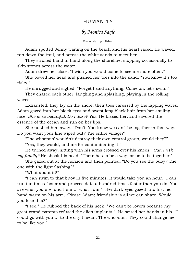## HUMANITY

## *by Monica Sagle*

(Previously unpublished)

 Adam spotted Jenny waiting on the beach and his heart raced. He waved, ran down the trail, and across the white sands to meet her.

 They strolled hand in hand along the shoreline, stopping occasionally to skip stones across the water.

Adam drew her close. "I wish you would come to see me more often."

 She bowed her head and pushed her toes into the sand. "You know it's too risky."

 He shrugged and sighed. "Forget I said anything. Come on, let's swim." They chased each other, laughing and splashing, playing in the rolling waves.

 Exhausted, they lay on the shore, their toes caressed by the lapping waves. Adam gazed into her black eyes and swept long black hair from her smiling face. *She is so beautiful. Do I dare? Yes.* He kissed her, and savored the essence of the ocean and sun on her lips.

 She pushed him away. "Don't. You know we can't be together in that way. Do you want your line wiped out? The entire village?"

 "The whoonns' wouldn't destroy their own control group, would they?" "Yes, they would, and me for contaminating it."

 He turned away, sitting with his arms crossed over his knees. *Can I risk my family?* He shook his head. "There has to be a way for us to be together."

 She gazed out at the horizon and then pointed. "Do you see the buoy? The one with the light flashing?"

"What about it?"

 "I can swim to that buoy in five minutes. It would take you an hour. I can run ten times faster and process data a hundred times faster than you do. You are what you are, and I am … what I am." Her dark eyes gazed into his, her hand warm on his arm. "Please Adam; friendship is all we can share. Would you lose this?"

 "I see." He rubbed the back of his neck. "We can't be lovers because my great grand-parents refused the alien implants." He seized her hands in his. "I could go with you … to the city I mean. The whoonns'. They could change me to be like you."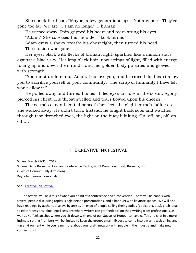She shook her head. "Maybe, a few generations ago. Not anymore. They've gone too far. We are … I am no longer … human."

He turned away. Pain gripped his heart and tears stung his eyes.

"Adam." She caressed his shoulder. "Look at me."

 Adam drew a shaky breath; his chest tight, then turned his head. The illusion was gone.

 Her eyes, black with flecks of brilliant light, sparkled like a million stars against a black sky. Her long black hair, now strings of light, filled with energy racing up and down the strands, and her golden body pulsated and glowed with strength.

 "You must understand, Adam. I do love you, and because I do, I can't allow you to sacrifice yourself or your community. The scrap of humanity I have left won't allow it."

 He pulled away and turned his tear-filled eyes to stare at the ocean. Agony pierced his chest. His throat swelled and tears flowed upon his cheeks.

 The sounds of sand shifted beneath her feet, the slight crunch fading as she walked away. He didn't turn. Instead, he fought back sobs and watched through tear-drenched eyes, the light on the buoy blinking. On, off, on, off, on, off ….

**------------**

THE CREATIVE INK FESTIVAL

When: March 29-31st, 2019 Where: Delta Burnably Hotel and Conference Centre, 4331 Dominion Street, Burnaby, B.C. Guest of Honour: Kelly Armstrong Keynote Speaker: Jonas Salk

#### See: [Creative Ink Festival](http://www.creativeinkfestival.com/)

 The festival will be a mix of what you'd find at a conference and a convention. There will be panels with several people discussing topics, single person presentations, and a banquet with keynote speech. We will also have readings by authors, displays by artists, an expo of people selling their goodies (books, art, etc.), pitch ideas to editors sessions, Blue Pencil sessions where writers can get feedback on their writing from professionals, as well as Kaffeeklatsches where you sit down with one of our Guests of Honour to have coffee and chat in a more intimate setting (numbers will be limited to keep the groups small). Expect to come into a warm, welcoming and fun environment while you learn more about your craft, network with people in the industry and make new connections!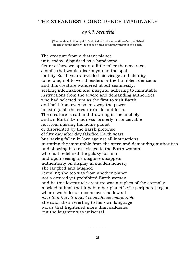### THE STRANGEST COINCIDENCE IMAGINABLE

## *by J.J. Steinfeld*

(Note: A short fiction by J.J. Steinfeld with the same title—first published in The Medulla Review—is based on this previously unpublished poem)

 The creature from a distant planet until today, disguised as a handsome figure of how we appear, a little taller than average, a smile that would disarm you on the spot, for fifty Earth years revealed his visage and identity to no one, not to world leaders or the humblest denizens and this creature wandered about seamlessly, seeking information and insights, adhering to immutable instructions from the severe and demanding authorities who had selected him as the first to visit Earth and held from even so far away the power to extinguish the creature's life and form. The creature is sad and drowning in melancholy and an Earthlike madness formerly inconceivable not from missing his home planet or disoriented by the harsh pretense of fifty day after day falsified Earth years but having fallen in love against all instructions mutating the immutable from the stern and demanding authorities and showing his true visage to the Earth woman who had redefined the galaxy for him and upon seeing his disguise disappear authenticity on display in sudden honesty she laughed and laughed revealing she too was from another planet not a desired yet prohibited Earth woman and he this lovestruck creature was a replica of the eternally mocked animal that inhabits her planet's vile peripheral region where two hideous moons overshadow all *isn't that the strangest coincidence imaginable* she said, then reverting to her own language words that frightened more than saddened but the laughter was universal.

**------------**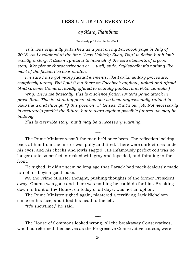### LESS UNLIKELY EVERY DAY

## *by Mark Shainblum*

(Previously published in FaceBook.)

 *This was originally published as a post on my Facebook page in July of 2018. As I explained at the time "Less Unlikely Every Day" is fiction but it isn't exactly a story. It doesn't pretend to have all of the core elements of a good story, like plot or characterization or … well, style. Stylistically it's nothing like most of the fiction I've ever written.*

 *I'm sure I also got many factual elements, like Parliamentary procedure, completely wrong. But I put it out there on Facebook anyhow, naked and afraid. (And Graeme Cameron kindly offered to actually publish it in Polar Borealis.)*

 *Why? Because basically, this is a science fiction writer's panic attack in prose form. This is what happens when you've been professionally trained to view the world through "if this goes on …" lenses. That's our job. Not necessarily to accurately predict the future, but to warn against possible futures we may be building.*

 *This is a terrible story, but it may be a necessary warning.*

 The Prime Minister wasn't the man he'd once been. The reflection looking back at him from the mirror was puffy and tired. There were dark circles under his eyes, and his cheeks and jowls sagged. His infamously perfect coif was no longer quite so perfect, streaked with gray and lopsided, and thinning in the front.

\*\*\*

 He sighed. It didn't seem so long ago that Barack had mock-jealously made fun of his boyish good looks.

 *No*, the Prime Minister thought, pushing thoughts of the former President away. Obama was gone and there was nothing he could do for him. Breaking down in front of the House, on today of all days, was not an option.

 The Prime Minister sighed again, plastered a terrifying Jack Nicholson smile on his face, and tilted his head to the left.

"It's showtime," he said.

#### \*\*\*

 The House of Commons looked wrong. All the breakaway Conservatives, who had reformed themselves as the Progressive Conservative caucus, were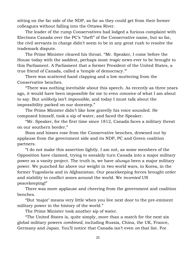sitting on the far side of the NDP, as far as they could get from their former colleagues without falling into the Ottawa River.

 The leader of the rump Conservatives had lodged a furious complaint with Elections Canada over the PC's "theft" of the Conservative name, but so far, the civil servants in charge didn't seem to be in any great rush to resolve the trademark dispute.

 The Prime Minister cleared his throat. "Mr. Speaker, I come before the House today with the saddest, perhaps most *tragic* news ever to be brought to this Parliament. A Parliament that a former President of the United States, a true friend of Canada, called a 'temple of democracy.'"

 There was scattered hand clapping and a low muttering from the Conservative benches.

 "There was nothing inevitable about this speech. As recently as three years ago, it would have been impossible for me to even *conceive* of what I am about to say. But *unlikely* isn't *impossible*, and today I must talk about the impossibility parked on our doorstep."

 The Prime Minister didn't like how gravelly his voice sounded. He composed himself, took a sip of water, and faced the Speaker.

 "Mr. Speaker, for the first time since 1812, Canada faces a military threat on our southern border."

 Boos and hisses rose from the Conservative benches, drowned out by applause from the government side and its NDP, PC and Green coalition partners.

 "I do not make this assertion lightly. I am not, as some members of the Opposition have claimed, trying to sneakily turn Canada into a major military power as a vanity project. The truth is, we have *always* been a major military power. We punched far above our weight in two world wars, in Korea, in the former Yugoslavia and in Afghanistan. Our peacekeeping forces brought order and stability to conflict zones around the world. We *invented* UN peacekeeping!"

 There was more applause and cheering from the government and coalition benches.

 "But 'major' means very little when you live next door to the pre-eminent military power in the history of the world."

The Prime Minister took another sip of water.

 "The United States is, quite simply, more than a match for the next six global military powers *combined*, including Russia, China, the UK, France, Germany and Japan. You'll notice that Canada isn't even *on* that list. For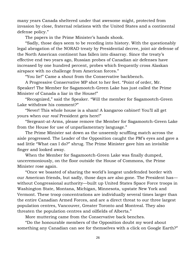many years Canada sheltered under that awesome might, protected from invasion by close, fraternal relations with the United States and a continental defense policy."

The papers in the Prime Minister's hands shook.

 "Sadly, those days seem to be receding into history. With the questionably legal abrogation of the NORAD treaty by Presidential decree, joint air defense of the North American continent has fallen into disarray. Since the treaty's effective end two years ago, Russian probes of Canadian air defenses have increased by one hundred percent, probes which frequently cross Alaskan airspace with no challenge from American forces."

"You lie!" Came a shout from the Conservative backbench.

 A Progressive Conservative MP shot to her feet. "Point of order, Mr. Speaker! The Member for Sagamootch-Green Lake has just called the Prime Minister of Canada a liar in the House!"

 "Recognized," said the Speaker. "Will the member for Sagamootch-Green Lake withdraw his comment?"

 "Never! This whole house is a sham! A kangaroo cabinet! You'll all get yours when our *real* President gets here!"

 "Sergeant-at-Arms, please remove the Member for Sagamootch-Green Lake from the House for use of unparliamentary language."

 The Prime Minister sat down as the unseemly scuffling match across the aisle progressed. The Leader of the Opposition caught the PM's eyes and gave a sad little "What can I do?" shrug. The Prime Minister gave him an invisible finger and looked away.

 When the Member for Sagamootch-Green Lake was finally dumped, unceremoniously, on the floor outside the House of Commons, the Prime Minister rose again.

 "Once we boasted of sharing the world's longest undefended border with our American friends, but sadly, those days are also gone. The President has without Congressional authority—built up United States Space Force troops in Washington State, Montana, Michigan, Minnesota, upstate New York and Vermont. These troop concentrations are individually several times larger than the entire Canadian Armed Forces, and are a direct threat to our three largest population centres, Vancouver, Greater Toronto and Montreal. They also threaten the population centres and oilfields of Alberta."

More muttering came from the Conservative back benches.

 "Do the honourable members of the Opposition doubt my word about something any Canadian can see for themselves with a click on Google Earth?"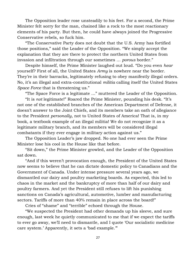The Opposition leader rose unsteadily to his feet. For a second, the Prime Minister felt sorry for the man, chained like a rock to the most reactionary elements of his party. But then, he could have always joined the Progressive Conservative rebels, so fuck him.

 "The Conservative Party does not doubt that the U.S. Army has fortified those positions," said the Leader of the Opposition. "We simply accept the explanation that they are there to protect the northern United States from invasion and infiltration through our sometimes … *porous* border."

 Despite himself, the Prime Minister laughed out loud. "Do you even *hear* yourself? First of all, the United States *Army* is nowhere near the border. They're in their barracks, legitimately refusing to obey manifestly illegal orders. No, it's an illegal and extra-constitutional *militia* calling itself the United States *Space Force* that is threatening us."

"The Space Force is a legitimate …" muttered the Leader of the Opposition.

 "It is *not* legitimate!" Roared the Prime Minister, pounding his desk. "It's not one of the established branches of the American Department of Defense, it doesn't answer to the Joint Chiefs, and its members take an oath of allegiance to the President *personally*, not to United States of America! That is, in my book, a textbook example of an illegal militia! We do not recognize it as a legitimate military branch, and its members will be considered illegal combatants if they ever engage in military action against us."

 The Opposition Leader's jaw dropped. No one had ever seen the Prime Minister lose his cool in the House like that before.

 "Sit down," the Prime Minister growled, and the Leader of the Opposition sat down.

 "And if this weren't provocation enough, the President of the United States now seems to believe that he can dictate domestic policy to Canadians and the Government of Canada. Under intense pressure several years ago, we dismantled our dairy and poultry marketing boards. As expected, this led to chaos in the market and the bankruptcy of more than half of our dairy and poultry farmers. And yet the President still refuses to lift his punishing sanctions on Canada's agricultural, automotive, lumber and manufacturing sectors. Tariffs of more than 40% remain in place across the board!"

Cries of "shame" and "terrible" echoed through the House.

 "We suspected the President had other demands up his sleeve, and sure enough, last week he quietly communicated to me that if we expect the tariffs to ever go away, we'll need to dismantle, and I quote 'Our socialistic medicine care system.' Apparently, it sets a 'bad example.'"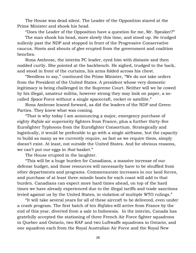The House was dead silent. The Leader of the Opposition stared at the Prime Minister and shook his head.

"Does the Leader of the Opposition have a question for me, Mr. Speaker?"

 The man shook his head, more slowly this time, and stood up. He trudged sullenly past the NDP and stopped in front of the Progressive Conservative caucus. Hoots and shouts of glee erupted from the government and coalition benches.

 Rona Ambrose, the interim PC leader, eyed him with distaste and then nodded curtly. She pointed at the backbench. He sighed, trudged to the back, and stood in front of the curtains, his arms folded across his chest.

 "Needless to say," continued the Prime Minister, "We do not take orders from the President of the United States. A president whose very domestic legitimacy is being challenged in the Supreme Court. Neither will we be cowed by his illegal, amateur militia, however strong they may look on paper, a socalled *Space* Force without a single spacecraft, rocket or satellite."

 Rona Ambrose leaned forward, as did the leaders of the NDP and Green Parties. They knew what was coming.

 "That is why today I am announcing a major, emergency purchase of eighty *Rafale* air superiority fighters from France, plus a further thirty-five Eurofighter Typhoons from the Eurofighter Consortium. Strategically and logistically, it would be preferable to go with a single airframe, but the capacity to build as many as we currently require, as fast as we require them, simply doesn't exist. At least, not outside the United States. And for obvious reasons, we can't put our eggs in *that* basket."

The House erupted in the laughter.

 "This will be a huge burden for Canadians, a massive increase of our defense budget, and those resources will necessarily have to be shuffled from other departments and programs. Commensurate increases in our land forces, and purchase of at least three missile boats for each coast will add to that burden. Canadians can expect more hard times ahead, on top of the hard times we have already experienced due to the illegal tariffs and trade sanctions levied against us by the United States, in violation of multiple WTO rulings."

 "It will take several years for all of these aircraft to be delivered, even under a crash program. The first batch of ten *Rafales* will arrive from France by the end of this year, diverted from a sale to Indonesia. In the interim, Canada has gratefully accepted the stationing of three French Air Force fighter squadrons in Quebec and Ontario, two RAF and two Luftwaffe squadrons in Ontario, and one squadron each from the Royal Australian Air Force and the Royal New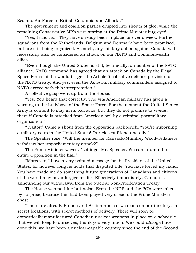Zealand Air Force in British Columbia and Alberta."

 The government and coalition parties erupted into shouts of glee, while the remaining Conservative MP's were staring at the Prime Minister bug-eyed.

 "Yes, I said *has*. They have already been in place for over a week. Further squadrons from the Netherlands, Belgium and Denmark have been promised, but are still being organized. As such, any military action against Canada will necessarily also be considered an attack on our NATO and Commonwealth allies.

 "Even though the United States is still, technically, a member of the NATO alliance, NATO command has agreed that an attack on Canada by the illegal Space Force militia would trigger the Article 5 collective defense provision of the NATO treaty. And yes, even the *American* military commanders assigned to NATO agreed with this interpretation."

A collective gasp went up from the House.

 "Yes. You heard that correctly. The *real* American military has given a warning to the bullyboys of the Space Force. For the moment the United States Army is content to stay in its barracks, but they do not promise to *remain*  there if Canada is attacked from American soil by a criminal paramilitary organization."

 "Traitor!" Came a shout from the opposition backbench. "You're suborning a military coup in the United States! Our closest friend and ally!"

 The Speaker rose. "Will the member for Ransack-Mumfrey Wood-Tellamere withdraw her unparliamentary attack?"

 The Prime Minister waved. "Let it go, Mr. Speaker. We can't dump the entire Opposition in the hall."

 "Moreover, I have a very pointed message for the President of the United States, for however long he holds that disputed title. You have forced my hand. You have made me do something future generations of Canadians and citizens of the world may never forgive me for. Effectively immediately, Canada is announcing our withdrawal from the Nuclear Non-Proliferation Treaty."

 The House was nothing but noise. Even the NDP and the PC's were taken by surprise, because this had been played very close to the Prime Minister's chest.

 "There are already French and British nuclear weapons on our territory, in secret locations, with secret methods of delivery. There will soon be domestically manufactured Canadian nuclear weapons in place on a schedule that we will keep to ourselves, thank you very much. We could *always* have done this, we have been a nuclear-capable country since the end of the Second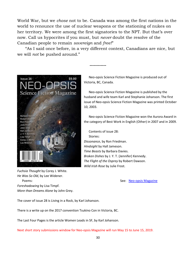World War, but we *chose* not to be. Canada was among the first nations in the world to renounce the use of nuclear weapons or the stationing of nukes on her territory. We were among the first signatories to the NPT. But that's over now. Call us hypocrites if you must, but *never* doubt the resolve of the Canadian people to remain *sovereign* and *free!*"

 "As I said once before, in a very different context, Canadians are nice, but we will *not* be pushed around."

**------------**



*Fuchsia Thought* by Corey J. White. *He Was So Old*, by Lee Widener. Poems: See: [Neo-opsis Magazine](http://www.neo-opsis.ca/) *Foreshadowing* by Lisa Timpf. *More than Dreams Alone* by John Grey.

 Neo-opsis Science Fiction Magazine is produced out of Victoria, BC, Canada.

 Neo-opsis Science Fiction Magazine is published by the husband and wife team Karl and Stephanie Johanson. The first issue of Neo-opsis Science Fiction Magazine was printed October 10, 2003.

 Neo-opsis Science Fiction Magazine won the Aurora Award in the category of Best Work in English (Other) in 2007 and in 2009.

 Contents of issue 28: Stories: *Dissonance*, by Ron Friedman. *Hindsight* by Hall Jameson. *Time Beasts* by Barbara Davies. *Broken Dishes* by J. Y. T. (Jennifer) Kennedy. *The Flight of the Osprey* by Robert Dawson. *Wild Irish Rose* by Julie Frost.

The cover of issue 28 is Living in a Rock, by Karl Johanson.

There is a write up on the 2017 convention Tsukino Con in Victoria, BC.

The Last Four Pages is the article Women Leads in SF, by Karl Johanson.

Next short story submissions window for Neo-opsis Magazine will run May 15 to June 15, 2019.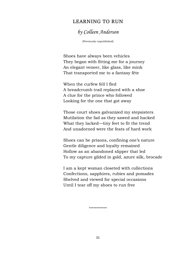### LEARNING TO RUN

## *by Colleen Anderson*

(Previously unpublished)

Shoes have always been vehicles They began with fitting me for a journey An elegant veneer, like glass, like mink That transported me to a fantasy fête

When the curfew fell I fled A breadcrumb trail replaced with a shoe A clue for the prince who followed Looking for the one that got away

Those court shoes galvanized my stepsisters Mutilation the fad as they sawed and hacked What they lacked—tiny feet to fit the trend And unadorned were the feats of hard work

Shoes can be prisons, confining one's nature Gentle diligence and loyalty remained Hollow as an abandoned slipper that led To my capture gilded in gold, azure silk, brocade

I am a kept woman closeted with collections Confections, sapphires, rubies and pomades Shelved and viewed for special occasions Until I tear off my shoes to run free

**------------**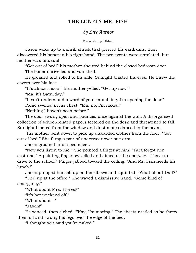## THE LONELY MR. FISH

# *by Lily Author*

(Previously unpublished)

 Jason woke up to a shrill shriek that pierced his eardrums, then discovered his boner in his right hand. The two events were unrelated, but neither was unusual.

"Get out of bed!" his mother shouted behind the closed bedroom door.

The boner shrivelled and vanished.

 He groaned and rolled to his side. Sunlight blasted his eyes. He threw the covers over his face.

"It's almost noon!" his mother yelled. "Get up now!"

"Ma, it's Saturday."

"I can't understand a word of your mumbling. I'm opening the door!"

Panic swelled in his chest. "Ma, no, I'm naked!"

"Nothing I haven't seen before."

 The door swung open and bounced once against the wall. A disorganized collection of school-related papers teetered on the desk and threatened to fall. Sunlight blasted from the window and dust motes danced in the beam.

 His mother bent down to pick up discarded clothes from the floor. "Get out of bed." She flung a pair of underwear over one arm.

Jason groaned into a bed sheet.

 "Now you listen to me." She pointed a finger at him. "Tara forgot her costume." A pointing finger swivelled and aimed at the doorway. "I have to drive to the school." Finger jabbed toward the ceiling. "And Mr. Fish needs his lunch."

 Jason propped himself up on his elbows and squinted. "What about Dad?" "Tied up at the office." She waved a dismissive hand. "Some kind of

emergency."

"What about Mrs. Flores?"

"It's her weekend off."

"What about—"

"Jason!"

 He winced, then sighed. "'Kay, I'm moving." The sheets rustled as he threw them off and swung his legs over the edge of the bed.

"I thought you said you're naked."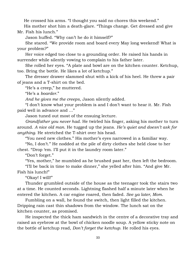He crossed his arms. "I thought you said no chores this weekend."

 His mother shot him a death-glare. "Things change. Get dressed and give Mr. Fish his lunch."

Jason huffed. "Why can't he do it himself?"

 She stared. "We provide room and board every May long weekend! What is your problem?"

 Her voice edged too close to a grounding order. He raised his hands in surrender while silently vowing to complain to his father later.

 She rolled her eyes. "A plate and bowl are on the kitchen counter. Ketchup, too. Bring the bottle. He likes a lot of ketchup."

 The dresser drawer slammed shut with a kick of his heel. He threw a pair of jeans and a T-shirt on the bed.

"He's a creep," he muttered.

"He's a *boarder*."

*And he gives me the creeps*, Jason silently added.

 "I don't know what your problem is and I don't want to hear it. Mr. Fish paid well in advance and ..."

Jason tuned out most of the ensuing lecture.

 *Grandfather you never had*. He twirled his finger, asking his mother to turn around. *A nice old man*. He tugged up the jeans. *He's quiet and doesn't ask for anything*. He stretched the T-shirt over his head.

"You need new clothes." His mother's eyes narrowed in a familiar way.

 "No, I don't." He nodded at the pile of dirty clothes she held close to her chest. "Drop 'em. I'll put it in the laundry room later."

"Don't forget."

"Yes, mother," he mumbled as he brushed past her, then left the bedroom.

 "I'll be back in time to make dinner," she yelled after him. "And give Mr. Fish his lunch!"

"Okay! I will!"

 Thunder grumbled outside of the house as the teenager took the stairs two at a time. He counted seconds. Lightning flashed half a minute later when he entered the kitchen. A car engine roared, then faded. *See ya later, Mom*.

 Fumbling on a wall, he found the switch, then light filled the kitchen. Dripping rain cast thin shadows from the window. The lunch sat on the kitchen counter, as promised.

 He inspected the thick ham sandwich in the centre of a decorative tray and raised an eyebrow at the bowl of chicken noodle soup. A yellow sticky note on the bottle of ketchup read, *Don't forget the ketchup*. He rolled his eyes.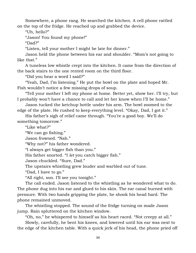Somewhere, a phone rang. He searched the kitchen. A cell phone rattled on the top of the fridge. He reached up and grabbed the device.

"Uh, hello?"

"Jason! You found my phone!"

"Dad?"

"Listen, tell your mother I might be late for dinner."

 Jason held the phone between his ear and shoulder. "Mom's not going to like that."

 A tuneless low whistle crept into the kitchen. It came from the direction of the back stairs to the one rented room on the third floor.

"Did you hear a word I said?"

 "Yeah, Dad, I'm listening." He put the bowl on the plate and hoped Mr. Fish wouldn't notice a few missing drops of soup.

 "Tell your mother I left my phone at home. Better yet, show her. I'll try, but I probably won't have a chance to call and let her know when I'll be home."

 Jason tucked the ketchup bottle under his arm. The bowl zoomed to the edge of the plate. He rushed to keep everything level. "Okay, Dad, I got it."

 His father's sigh of relief came through. "You're a good boy. We'll do something tomorrow."

"Like what?"

"We can go fishing."

Jason frowned. "Nah."

"Why not?" his father wondered.

"I always get bigger fish than you."

His father snorted. "I *let* you catch bigger fish."

Jason chuckled. "Sure, Dad."

The upstairs whistling grew louder and warbled out of tune.

"Dad, I have to go."

"All right, son. I'll see you tonight."

 The call ended. Jason listened to the whistling as he wondered what to do. The phone dug into his ear and glued to his skin. The ear canal burned with pressure. With two hands gripping the plate, he shook his head hard. The phone remained unmoved.

 The whistling stopped. The sound of the fridge turning on made Jason jump. Rain spluttered on the kitchen window.

"Oh, no," he whispered to himself as his heart raced. "Not creepy at all."

 Slowly, carefully, he bent his knees, and lowered until his ear was next to the edge of the kitchen table. With a quick jerk of his head, the phone pried off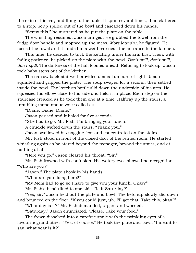the skin of his ear, and flung to the table. It spun several times, then clattered to a stop. Soup spilled out of the bowl and cascaded down his hands.

"Screw this," he muttered as he put the plate on the table.

 The whistling resumed. Jason cringed. He grabbed the towel from the fridge door handle and mopped up the mess. *More laundry*, he figured. He tossed the towel and it landed in a wet heap near the entrance to the kitchen.

 This time, he decided to tuck the ketchup under his arm first. Then, with fading patience, he picked up the plate with the bowl. *Don't spill, don't spill, don't spill*. The darkness of the hall loomed ahead. Refusing to look up, Jason took baby steps out of the kitchen.

 The narrow back stairwell provided a small amount of light. Jason squinted and gripped the plate. The soup swayed for a second, then settled inside the bowl. The ketchup bottle slid down the underside of his arm. He squeezed his elbow close to his side and held it in place. Each step on the staircase creaked as he took them one at a time. Halfway up the stairs, a trembling monotonous voice called out.

"Diane. Diane. Diane."

Jason paused and inhaled for five seconds.

"She had to go, Mr. Fish! I'm bringing your lunch."

A chuckle wafted down the stairs. "Thank you."

Jason swallowed his nagging fear and concentrated on the stairs.

 Mr. Fish stood in front of the closed door of the rented room. He started whistling again as he stared beyond the teenager, beyond the stairs, and at nothing at all.

"Here you go." Jason cleared his throat. "Sir."

 Mr. Fish frowned with confusion. His watery eyes showed no recognition. "Who are you?"

"Jason." The plate shook in his hands.

"What are you doing here?"

"My Mom had to go so I have to give you your lunch. Okay?"

Mr. Fish's head tilted to one side. "Is it Saturday?"

 "Yes, sir." Jason held out the plate and bowl. The ketchup slowly slid down and bounced on the floor. "If you could just, uh, I'll get that. Take this, okay?"

"What day is it?" Mr. Fish demanded, urgent and worried.

"Saturday," Jason enunciated. "Please. Take your food."

 The frown dissolved into a carefree smile with the twinkling eyes of a favourite grandfather. "Yes, of course." He took the plate and bowl. "I meant to say, what year is it?"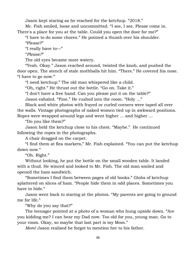Jason kept staring as he reached for the ketchup. "2018."

 Mr. Fish smiled, loose and uncommitted. "I see, I see. Please come in. There's a place for you at the table. Could you open the door for me?"

 "I have to do some chores." He pointed a thumb over his shoulder. "Please?"

"I really have to—"

"*Please?*"

The old eyes became more watery.

 "Yeah. Okay." Jason reached around, twisted the knob, and pushed the door open. The stench of stale mothballs hit him. "There." He covered his nose. "I have to go now."

"I need ketchup." The old man whispered like a child.

"Oh, right." He thrust out the bottle. "Go on. Take it."

"I don't have a free hand. Can you please put it on the table?"

Jason exhaled. "Fine." He rushed into the room. "Holy ..."

 Black and white photos with frayed or curled corners were taped all over the walls. Vintage photographs of naked women tied up in awkward positions. Ropes were wrapped around legs and went higher ... and higher ...

"Do you like them?"

 Jason held the ketchup close to his chest. "Maybe." He continued following the ropes in the photographs.

A chair dragged on the carpet.

 "I find them at flea markets," Mr. Fish explained. "You can put the ketchup down now."

"Oh. Right."

 Without looking, he put the bottle on the small wooden table. It landed with a thud. He winced and looked to Mr. Fish. The old man smiled and opened the ham sandwich.

 "Sometimes I find them between pages of old books." Globs of ketchup splattered on slices of ham. "People hide them in odd places. Sometimes you have to hide."

 Jason went back to staring at the photos. "My parents are going to ground me for life."

"Why do you say that?"

 The teenager pointed at a photo of a woman who hung upside down. "Are you kidding me? I can hear my Dad now. Too old for you, young man. Go to your room. Okay, so maybe that last part is my Mom."

*Mom!* Jason realized he forgot to mention her to his father.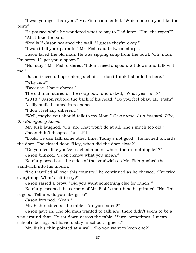"I was younger than you," Mr. Fish commented. "Which one do you like the best?"

 He paused while he wondered what to say to Dad later. "Um, the ropes?" "Ah. I like the bars."

"Really?" Jason scanned the wall. "I guess they're okay."

"I won't tell your parents," Mr. Fish said between slurps.

 Jason faced the old man. He was sipping soup from the bowl. "Oh, man, I'm sorry. I'll get you a spoon."

 "No, stay," Mr. Fish ordered. "I don't need a spoon. Sit down and talk with me."

 Jason traced a finger along a chair. "I don't think I should be here." "Why not?"

"Because. I have chores."

The old man stared at the soup bowl and asked, "What year is it?"

 "2018." Jason rubbed the back of his head. "Do you feel okay, Mr. Fish?" A silly smile beamed in response.

"I don't feel any different."

 "Well, maybe you should talk to my Mom." *Or a nurse. At a hospital*. *Like, the Emergency Room.*

 Mr. Fish laughed. "Oh, no. That won't do at all. She's much too old." Jason didn't disagree, but still ...

 "Look, we can talk some other time. Today's not good." He inched towards the door. The closed door. "Hey, when did the door close?"

 "Do you feel like you've reached a point where there's nothing left?" Jason blinked. "I don't know what you mean."

 Ketchup oozed out the sides of the sandwich as Mr. Fish pushed the sandwich into his mouth.

 "I've travelled all over this country," he continued as he chewed. "I've tried everything. What's left to try?"

Jason raised a brow. "Did you want something else for lunch?"

 Ketchup escaped the corners of Mr. Fish's mouth as he grinned. "No. This is good. Tell me, do you like girls?"

Jason frowned. "Yeah."

Mr. Fish nodded at the table. "Are you bored?"

 Jason gave in. The old man wanted to talk and there didn't seem to be a way around that. He sat down across the table. "Sure, sometimes. I mean, school's boring, but have to stay in school, I guess."

Mr. Fish's chin pointed at a wall. "Do you want to keep one?"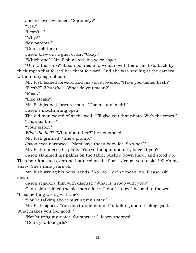Jason's eyes widened. "Seriously?" "Yes." "I can't..." "Why?"

"My parents."

"Don't tell them."

Jason blew out a gust of air. "Okay."

"Which one?" Mr. Fish asked, his voice eager.

 "Um ... that one?" Jason pointed at a woman with her arms held back by thick ropes that forced her chest forward. And she was smiling at the camera without any sign of pain.

 Mr. Fish leaned forward and his voice lowered. "Have you tasted flesh?" "Flesh?" *What the ...* What do you mean?"

"Meat."

"Like steak?"

Mr. Fish leaned forward more. "The meat of a girl."

Jason's mouth hung open.

The old man waved of at the wall. "I'll give you that photo. With the ropes." "Thanks, but—"

"Your sister."

*What the hell?* "What about her?" he demanded.

Mr. Fish grinned. "She's plump."

Jason eyes narrowed. "Mom says that's baby fat. So what?"

Mr. Fish nudged the plate. "You've thought about it, haven't you?"

 Jason slammed his palms on the table, pushed down hard, and stood up. The chair knocked over and bounced on the floor. "Jesus, you're sick! She's my *sister*. She's nine years old!"

 Mr. Fish wrung his bony hands. "No, no. I didn't mean, no. Please. Sit down."

Jason regarded him with disgust. "What is *wrong* with you?"

 Confusion riddled the old man's face. "I don't know," he said to the wall. "Is something wrong with me?"

"You're talking about hurting my sister."

 Mr. Fish sighed. "You don't understand. I'm talking about feeling good. What makes you feel good?"

"Not hurting my sister, for starters!" Jason snapped.

"Don't you like girls?"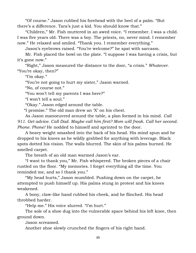"Of course." Jason rubbed his forehead with the heel of a palm. "But there's a difference. Tara's just a kid. You should know that."

 "Children," Mr. Fish muttered in an awed voice. "I remember. I was a child. I was five years old. There was a boy. The priests, no, never mind. I remember now." He relaxed and smiled. "Thank you. I remember everything."

Jason's eyebrows raised. "You're welcome?" he spat with sarcasm.

 Mr. Fish placed the bowl on the plate. "I suppose I was having a crisis, but it's gone now."

 "Right," Jason measured the distance to the door, "a crisis." *Whatever*. "You're okay, then?"

"I'm okay."

"You're not going to hurt my sister," Jason warned.

"No, of course not."

"You won't tell my parents I was here?"

"I won't tell a soul."

"Okay." Jason edged around the table.

"I promise." The old man drew an 'X' on his chest.

 As Jason manoeuvred around the table, a plan formed in his mind. *Call 911. Get advice. Call Dad. Maybe call him first? Mom will freak. Call her second*. *Phone. Phone!* He nodded to himself and sprinted to the door.

 A heavy weight smashed into the back of his head. His mind spun and he dropped to his knees as he wildly grabbed for anything with leverage. Black spots dotted his vision. The walls blurred. The skin of his palms burned. He smelled carpet.

The breath of an old man warmed Jason's ear.

 "I want to thank you," Mr. Fish whispered. The broken pieces of a chair rustled on the floor. "My memories. I forget everything all the time. You reminded me, and so I thank you."

 "My head hurts," Jason mumbled. Pushing down on the carpet, he attempted to push himself up. His palms stung in protest and his knees weakened.

 A bony, claw-like hand rubbed his cheek, and he flinched. His head throbbed harder.

"Help me." His voice slurred. "I'm hurt."

 The sole of a shoe dug into the vulnerable space behind his left knee, then ground down.

Jason screamed.

Another shoe slowly crunched the fingers of his right hand.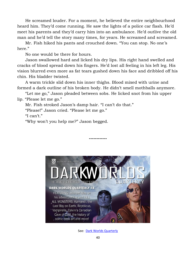He screamed louder. For a moment, he believed the entire neighbourhood heard him. They'd come running. He saw the lights of a police car flash. He'd meet his parents and they'd carry him into an ambulance. He'd outlive the old man and he'd tell the story many times, for years. He screamed and screamed.

 Mr. Fish hiked his pants and crouched down. "You can stop. No one's here."

No one would be there for hours.

 Jason swallowed hard and licked his dry lips. His right hand swelled and cracks of blood spread down his fingers. He'd lost all feeling in his left leg. His vision blurred even more as fat tears gushed down his face and dribbled off his chin. His bladder twisted.

 A warm trickle slid down his inner thighs. Blood mixed with urine and formed a dark outline of his broken body. He didn't smell mothballs anymore.

 "Let me go," Jason pleaded between sobs. He licked snot from his upper lip. "Please let me go."

Mr. Fish stroked Jason's damp hair. "I can't do that."

"Please!" Jason cried. "Please let me go."

"I can't."

"Why won't you help me?" Jason begged.



**------------**

See: [Dark Worlds Quarterly](http://darkworldsquarterly.gwthomas.org/)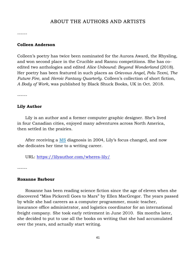## ABOUT THE AUTHORS AND ARTISTS

------

### **Colleen Anderson**

Colleen's poetry has twice been nominated for the Aurora Award, the Rhysling, and won second place in the Crucible and Rannu competitions. She has coedited two anthologies and edited *Alice Unbound: Beyond Wonderland* (2018). Her poetry has been featured in such places as *Grievous Angel, Polu Texni*, *The Future Fire*, and *Heroic Fantasy Quarterly*. Colleen's collection of short fiction, *A Body of Work,* was published by Black Shuck Books, UK in Oct. 2018.

------

### **Lily Author**

 Lily is an author and a former computer graphic designer. She's lived in four Canadian cities, enjoyed many adventures across North America, then settled in the prairies.

 After receiving a [MS](https://en.wikipedia.org/wiki/Multiple_sclerosis) diagnosis in 2004, Lily's focus changed, and now she dedicates her time to a writing career.

URL: <https://lilyauthor.com/wheres-lily/>

------

### **Roxanne Barbour**

 Roxanne has been reading science fiction since the age of eleven when she discovered "Miss Pickerell Goes to Mars" by Ellen MacGregor. The years passed by while she had careers as a computer programmer, music teacher, insurance office administrator, and logistics coordinator for an international freight company. She took early retirement in June 2010. Six months later, she decided to put to use all the books on writing that she had accumulated over the years, and actually start writing.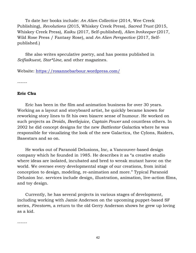To date her books include: *An Alien Collective* (2014, Wee Creek Publishing), *Revolutions* (2015, Whiskey Creek Press), *Sacred Trust* (2015, Whiskey Creek Press), *Kaiku* (2017, Self-published), *Alien Innkeeper* (2017, Wild Rose Press / Fantasy Rose), and *An Alien Perspective* (2017, Selfpublished.)

 She also writes speculative poetry, and has poems published in *Scifiaikuest, Star\*Line,* and other magazines.

Website:<https://roxannebarbour.wordpress.com/>

------

#### **Eric Chu**

 Eric has been in the film and animation business for over 30 years. Working as a layout and storyboard artist, he quickly became known for reworking story lines to fit his own bizarre sense of humour. He worked on such projects as *Droids*, *Beetlejuice*, *Captain Power* and countless others. In 2002 he did concept designs for the new *Battlestar Galactic*a where he was responsible for visualizing the look of the new Galactica, the Cylons, Raiders, Basestars and so on.

 He works out of Paranoid Delusions, Inc, a Vancouver-based design company which he founded in 1985. He describes it as "a creative studio where ideas are isolated, incubated and bred to wreak mutant havoc on the world. We oversee every developmental stage of our creations, from initial conception to design, modeling, re-animation and more." Typical Paranoid Delusion Inc. services include design, illustration, animation, live-action films, and toy design.

 Currently, he has several projects in various stages of development, including working with Jamie Anderson on the upcoming puppet-based SF series, *Firestorm*, a return to the old Gerry Anderson shows he grew up loving as a kid.

------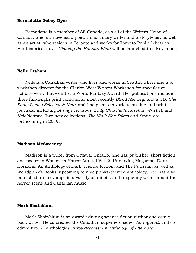#### **Bernadette Gabay Dyer**

 Bernadette is a member of SF Canada, as well of the Writers Union of Canada. She is a novelist, a poet, a short story writer and a storyteller, as well as an artist, who resides in Toronto and works for Toronto Public Libraries. Her historical novel *Chasing the Banyan Wind* will be launched this November.

------

#### **Neile Graham**

 Neile is a Canadian writer who lives and works in Seattle, where she is a workshop director for the Clarion West Writers Workshop for speculative fiction—work that won her a World Fantasy Award. Her publications include three full-length print collections, most recently *Blood Memory*, and a CD, *She Says: Poems Selected & New*, and has poems in various on-line and print journals, including *Strange Horizons*, *Lady Churchill's Rosebud Wristlet*, and *Kaleidotrope*. Two new collections, *The Walk She Takes* and *Stone*, are forthcoming in 2019.

------

#### **Madison McSweeney**

 Madison is a writer from Ottawa, Ontario. She has published short fiction and poetry in Women in Horror Annual Vol. 2, Unnerving Magazine, Dark Horizons: An Anthology of Dark Science Fiction, and The Fulcrum, as well as Weirdpunk's Books' upcoming zombie punks-themed anthology. She has also published arts coverage in a variety of outlets, and frequently writes about the horror scene and Canadian music.

------

#### **Mark Shainblum**

 Mark Shainblum is an award-winning science fiction author and comic book writer. He co-created the Canadian superhero series *Northguard*, and coedited two SF anthologies, *Arrowdreams: An Anthology of Alternate*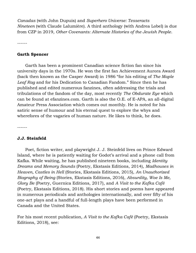*Canadas* (with John Dupuis) and *Superhero Universe: Tesseracts Nineteen* (with Claude Lalumière). A third anthology (with Andrea Lobel) is due from CZP in 2019, *Other Covenants: Alternate Histories of the Jewish People*.

------

#### **Garth Spencer**

 Garth has been a prominent Canadian science fiction fan since his university days in the 1970s. He won the first fan Achievement Aurora Award (back then known as the Casper Award) in 1986 "for his editing of *The Maple Leaf Rag* and for his Dedication to Canadian Fandom." Since then he has published and edited numerous fanzines, often addressing the trials and tribulations of the fandom of the day, most recently *The Obdurate Eye* which can be found at efanzines.com. Garth is also the O.E. of E-APA, an all-digital Amateur Press Association which comes out monthly. He is noted for his satiric sense of humour and his eternal quest to explore the whys and wherefores of the vagaries of human nature. He likes to think, he does.

------

#### **J.J. Steinfeld**

 Poet, fiction writer, and playwright J. J. Steinfeld lives on Prince Edward Island, where he is patiently waiting for Godot's arrival and a phone call from Kafka. While waiting, he has published nineteen books, including *Identity Dreams and Memory Sounds* (Poetry, Ekstasis Editions, 2014), *Madhouses in Heaven, Castles in Hell* (Stories, Ekstasis Editions, 2015), *An Unauthorized Biography of Being* (Stories, Ekstasis Editions, 2016), *Absurdity, Woe Is Me, Glory Be* (Poetry, Guernica Editions, 2017), and *A Visit to the Kafka Café*  (Poetry, Ekstasis Editions, 2018). His short stories and poems have appeared in numerous periodicals and anthologies internationally, and over fifty of his one-act plays and a handful of full-length plays have been performed in Canada and the United States.

For his most recent publication, *A Visit to the Kafka Café* (Poetry, Ekstasis Editions, 2018), see: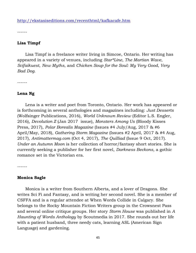<http://ekstasiseditions.com/recenthtml/kafkacafe.htm>

------

#### **Lisa Timpf**

 Lisa Timpf is a freelance writer living in Simcoe, Ontario. Her writing has appeared in a variety of venues, including *Star\*Line*, *The Martian Wave*, *Scifaikuest*, *New Myths*, and *Chicken Soup for the Soul: My Very Good, Very Bad Dog*.

------

#### **Lena Ng**

 Lena is a writer and poet from Toronto, Ontario. Her work has appeared or is forthcoming in several anthologies and magazines including: *Just Desserts* (Wolfsinger Publications, 2016), *World Unknown Review* (Editor L.S. Engler, 2016), *Devolution Z* (Jan 2017 issue), *Monsters Among Us* (Bloody Kisses Press, 2017), *Polar Borealis Magazine* (Issues #4 July/Aug, 2017 & #6 April/May, 2018), *Gathering Storm Magazine* (Issues #2 April, 2017 & #4 Aug, 2017), *Antimattermag.com* (Oct 4, 2017), *The Quilliad* (Issue 9 Oct, 2017). *Under an Autumn Moon* is her collection of horror/fantasy short stories. She is currently seeking a publisher for her first novel, *Darkness Beckons*, a gothic romance set in the Victorian era.

------

#### **Monica Sagle**

 Monica is a writer from Southern Alberta, and a lover of Dragons. She writes Sci Fi and Fantasy, and is writing her second novel. She is a member of CSFFA and is a regular attendee at When Words Collide in Calgary. She belongs to the Rocky Mountain Fiction Writers group in the Crowsnest Pass and several online critique groups. Her story *Storm House* was published in *A Haunting of Words Anthology* by Scoutmedia in 2017. She rounds out her life with a patient husband, three needy cats, learning ASL (American Sign Language) and gardening.